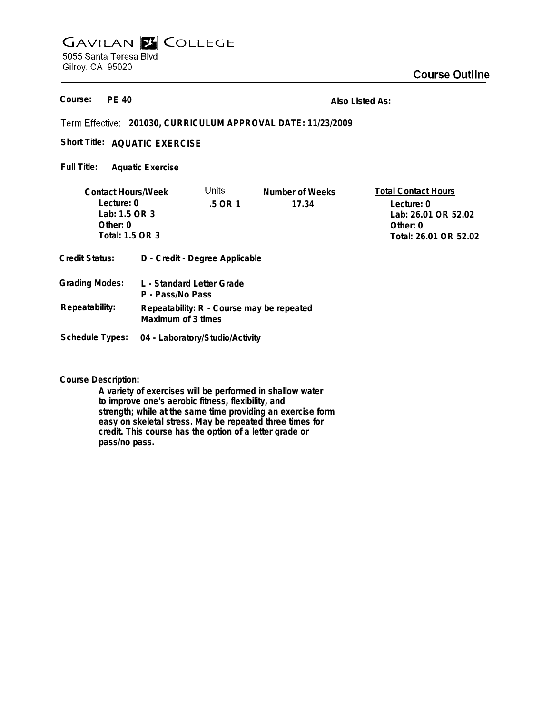## **GAVILAN E COLLEGE** 5055 Santa Teresa Blvd Gilroy, CA 95020

**PE 40 Course:**

**Also Listed As:**

**201030, CURRICULUM APPROVAL DATE: 11/23/2009**

Short Title: AQUATIC EXERCISE

**Aquatic Exercise Full Title:**

| <b>Contact Hours/Week</b> |                                                                 | Units                           | Number of Weeks | <b>Total Contact Hours</b> |
|---------------------------|-----------------------------------------------------------------|---------------------------------|-----------------|----------------------------|
| Lecture: 0                |                                                                 | .5 OR 1                         | 17.34           | Lecture: 0                 |
| Lab: 1.5 OR 3             |                                                                 |                                 |                 | Lab: 26.01 OR 52.02        |
| Other: $0$                |                                                                 |                                 |                 | Other: $0$                 |
| Total: 1.5 OR 3           |                                                                 |                                 |                 | Total: 26.01 OR 52.02      |
| <b>Credit Status:</b>     |                                                                 | D - Credit - Degree Applicable  |                 |                            |
| <b>Grading Modes:</b>     | L - Standard Letter Grade<br>P - Pass/No Pass                   |                                 |                 |                            |
| Repeatability:            | Repeatability: R - Course may be repeated<br>Maximum of 3 times |                                 |                 |                            |
| Schedule Types:           |                                                                 | 04 - Laboratory/Studio/Activity |                 |                            |

**Course Description:**

**A variety of exercises will be performed in shallow water to improve one's aerobic fitness, flexibility, and strength; while at the same time providing an exercise form easy on skeletal stress. May be repeated three times for credit. This course has the option of a letter grade or pass/no pass.**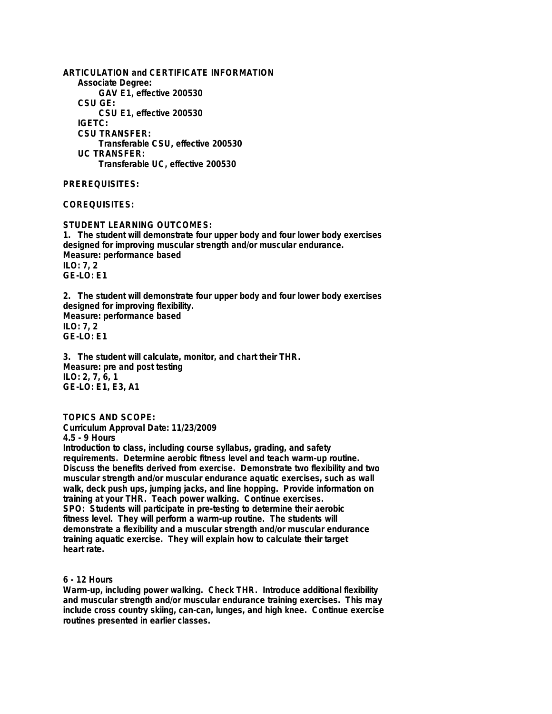**ARTICULATION and CERTIFICATE INFORMATION Associate Degree: GAV E1, effective 200530 CSU GE: CSU E1, effective 200530 IGETC: CSU TRANSFER: Transferable CSU, effective 200530 UC TRANSFER: Transferable UC, effective 200530 PREREQUISITES:**

# **COREQUISITES:**

**STUDENT LEARNING OUTCOMES: 1. The student will demonstrate four upper body and four lower body exercises designed for improving muscular strength and/or muscular endurance. Measure: performance based ILO: 7, 2 GE-LO: E1**

**2. The student will demonstrate four upper body and four lower body exercises designed for improving flexibility. Measure: performance based ILO: 7, 2 GE-LO: E1**

**3. The student will calculate, monitor, and chart their THR. Measure: pre and post testing ILO: 2, 7, 6, 1 GE-LO: E1, E3, A1**

## **TOPICS AND SCOPE:**

**Curriculum Approval Date: 11/23/2009**

**4.5 - 9 Hours**

**Introduction to class, including course syllabus, grading, and safety requirements. Determine aerobic fitness level and teach warm-up routine. Discuss the benefits derived from exercise. Demonstrate two flexibility and two muscular strength and/or muscular endurance aquatic exercises, such as wall walk, deck push ups, jumping jacks, and line hopping. Provide information on training at your THR. Teach power walking. Continue exercises. SPO: Students will participate in pre-testing to determine their aerobic fitness level. They will perform a warm-up routine. The students will demonstrate a flexibility and a muscular strength and/or muscular endurance training aquatic exercise. They will explain how to calculate their target heart rate.**

## **6 - 12 Hours**

**Warm-up, including power walking. Check THR. Introduce additional flexibility and muscular strength and/or muscular endurance training exercises. This may include cross country skiing, can-can, lunges, and high knee. Continue exercise routines presented in earlier classes.**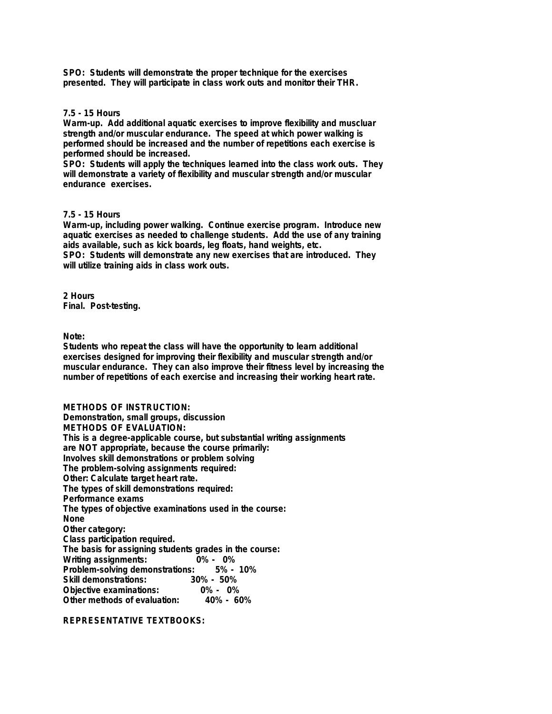**SPO: Students will demonstrate the proper technique for the exercises presented. They will participate in class work outs and monitor their THR.**

## **7.5 - 15 Hours**

**Warm-up. Add additional aquatic exercises to improve flexibility and muscluar strength and/or muscular endurance. The speed at which power walking is performed should be increased and the number of repetitions each exercise is performed should be increased.**

**SPO: Students will apply the techniques learned into the class work outs. They will demonstrate a variety of flexibility and muscular strength and/or muscular endurance exercises.**

## **7.5 - 15 Hours**

**Warm-up, including power walking. Continue exercise program. Introduce new aquatic exercises as needed to challenge students. Add the use of any training aids available, such as kick boards, leg floats, hand weights, etc.**

**SPO: Students will demonstrate any new exercises that are introduced. They will utilize training aids in class work outs.**

**2 Hours Final. Post-testing.**

**Note:**

**Students who repeat the class will have the opportunity to learn additional exercises designed for improving their flexibility and muscular strength and/or muscular endurance. They can also improve their fitness level by increasing the number of repetitions of each exercise and increasing their working heart rate.**

**METHODS OF INSTRUCTION: Demonstration, small groups, discussion METHODS OF EVALUATION: This is a degree-applicable course, but substantial writing assignments are NOT appropriate, because the course primarily: Involves skill demonstrations or problem solving The problem-solving assignments required: Other: Calculate target heart rate. The types of skill demonstrations required: Performance exams The types of objective examinations used in the course: None Other category: Class participation required. The basis for assigning students grades in the course:** Writing assignments: 0% - 0%<br>Problem-solving demonstrations: 5% - 10% **Problem-solving demonstrations: Skill demonstrations: 30% - 50% Objective examinations: 0% - 0% Other methods of evaluation:** 

**REPRESENTATIVE TEXTBOOKS:**